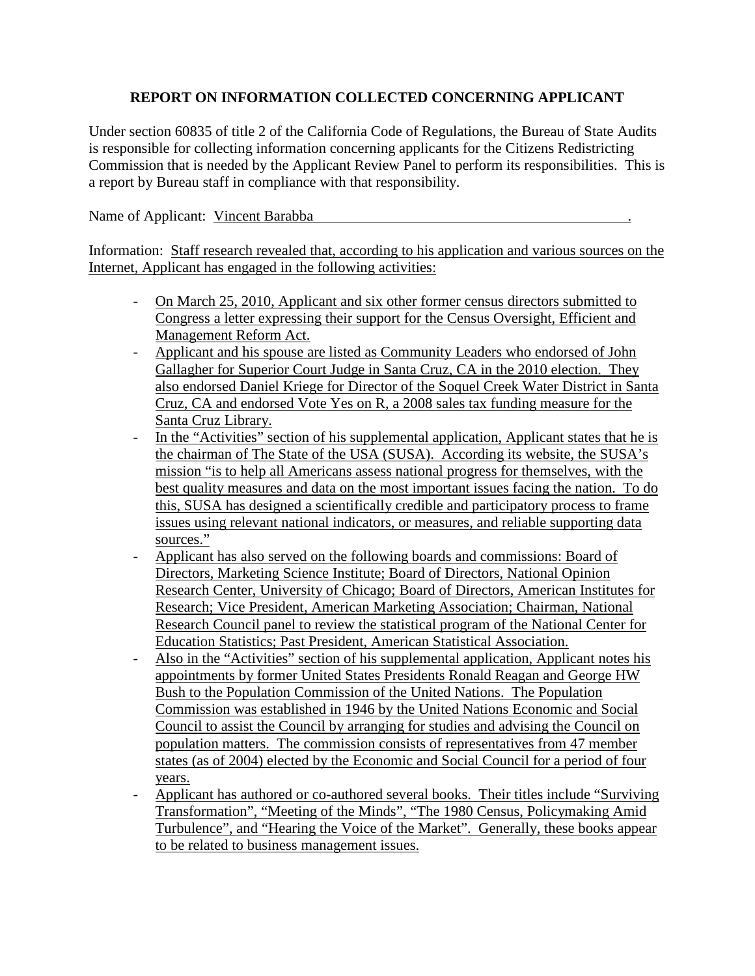## **REPORT ON INFORMATION COLLECTED CONCERNING APPLICANT**

Under section 60835 of title 2 of the California Code of Regulations, the Bureau of State Audits is responsible for collecting information concerning applicants for the Citizens Redistricting Commission that is needed by the Applicant Review Panel to perform its responsibilities. This is a report by Bureau staff in compliance with that responsibility.

## Name of Applicant: Vincent Barabba .

Information: Staff research revealed that, according to his application and various sources on the Internet, Applicant has engaged in the following activities:

- On March 25, 2010, Applicant and six other former census directors submitted to Congress a letter expressing their support for the Census Oversight, Efficient and Management Reform Act.
- Applicant and his spouse are listed as Community Leaders who endorsed of John Gallagher for Superior Court Judge in Santa Cruz, CA in the 2010 election. They also endorsed Daniel Kriege for Director of the Soquel Creek Water District in Santa Cruz, CA and endorsed Vote Yes on R, a 2008 sales tax funding measure for the Santa Cruz Library.
- In the "Activities" section of his supplemental application, Applicant states that he is the chairman of The State of the USA (SUSA). According its website, the SUSA's mission "is to help all Americans assess national progress for themselves, with the best quality measures and data on the most important issues facing the nation. To do this, SUSA has designed a scientifically credible and participatory process to frame issues using relevant national indicators, or measures, and reliable supporting data sources."
- Applicant has also served on the following boards and commissions: Board of Directors, Marketing Science Institute; Board of Directors, National Opinion Research Center, University of Chicago; Board of Directors, American Institutes for Research; Vice President, American Marketing Association; Chairman, National Research Council panel to review the statistical program of the National Center for Education Statistics; Past President, American Statistical Association.
- Also in the "Activities" section of his supplemental application, Applicant notes his appointments by former United States Presidents Ronald Reagan and George HW Bush to the Population Commission of the United Nations. The Population Commission was established in 1946 by the United Nations Economic and Social Council to assist the Council by arranging for studies and advising the Council on population matters. The commission consists of representatives from 47 member states (as of 2004) elected by the Economic and Social Council for a period of four years.
- Applicant has authored or co-authored several books. Their titles include "Surviving" Transformation", "Meeting of the Minds", "The 1980 Census, Policymaking Amid Turbulence", and "Hearing the Voice of the Market". Generally, these books appear to be related to business management issues.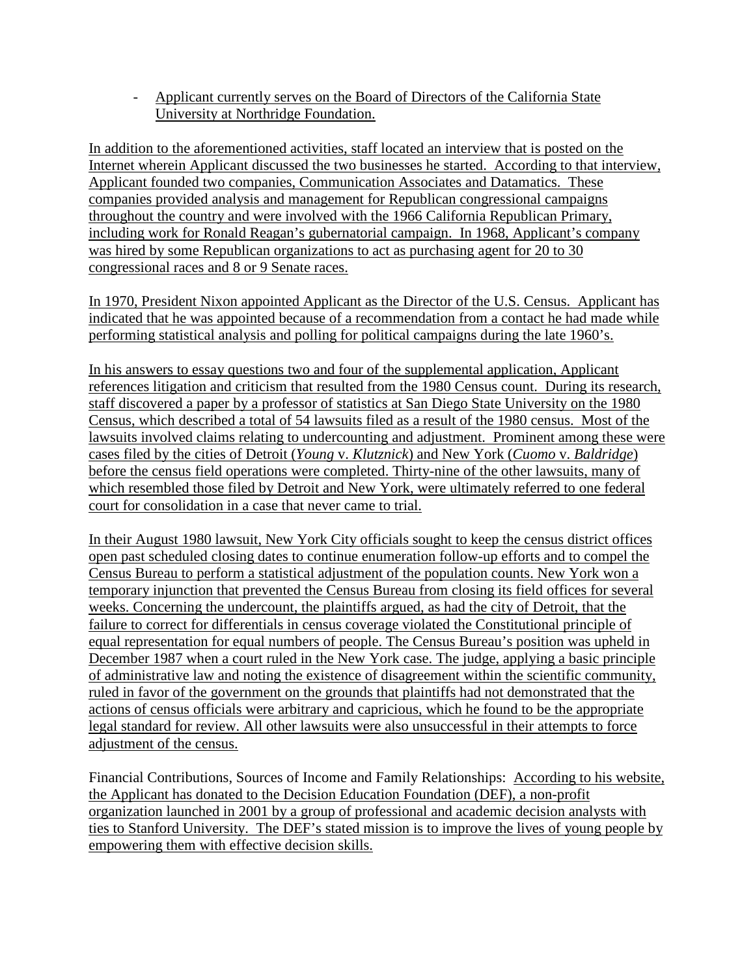- Applicant currently serves on the Board of Directors of the California State University at Northridge Foundation.

In addition to the aforementioned activities, staff located an interview that is posted on the Internet wherein Applicant discussed the two businesses he started. According to that interview, Applicant founded two companies, Communication Associates and Datamatics. These companies provided analysis and management for Republican congressional campaigns throughout the country and were involved with the 1966 California Republican Primary, including work for Ronald Reagan's gubernatorial campaign. In 1968, Applicant's company was hired by some Republican organizations to act as purchasing agent for 20 to 30 congressional races and 8 or 9 Senate races.

In 1970, President Nixon appointed Applicant as the Director of the U.S. Census. Applicant has indicated that he was appointed because of a recommendation from a contact he had made while performing statistical analysis and polling for political campaigns during the late 1960's.

In his answers to essay questions two and four of the supplemental application, Applicant references litigation and criticism that resulted from the 1980 Census count. During its research, staff discovered a paper by a professor of statistics at San Diego State University on the 1980 Census, which described a total of 54 lawsuits filed as a result of the 1980 census. Most of the lawsuits involved claims relating to undercounting and adjustment. Prominent among these were cases filed by the cities of Detroit (*Young* v. *Klutznick*) and New York (*Cuomo* v. *Baldridge*) before the census field operations were completed. Thirty-nine of the other lawsuits, many of which resembled those filed by Detroit and New York, were ultimately referred to one federal court for consolidation in a case that never came to trial.

In their August 1980 lawsuit, New York City officials sought to keep the census district offices open past scheduled closing dates to continue enumeration follow-up efforts and to compel the Census Bureau to perform a statistical adjustment of the population counts. New York won a temporary injunction that prevented the Census Bureau from closing its field offices for several weeks. Concerning the undercount, the plaintiffs argued, as had the city of Detroit, that the failure to correct for differentials in census coverage violated the Constitutional principle of equal representation for equal numbers of people. The Census Bureau's position was upheld in December 1987 when a court ruled in the New York case. The judge, applying a basic principle of administrative law and noting the existence of disagreement within the scientific community, ruled in favor of the government on the grounds that plaintiffs had not demonstrated that the actions of census officials were arbitrary and capricious, which he found to be the appropriate legal standard for review. All other lawsuits were also unsuccessful in their attempts to force adjustment of the census.

Financial Contributions, Sources of Income and Family Relationships: According to his website, the Applicant has donated to the Decision Education Foundation (DEF), a non-profit organization launched in 2001 by a group of professional and academic decision analysts with ties to Stanford University. The DEF's stated mission is to improve the lives of young people by empowering them with effective decision skills.